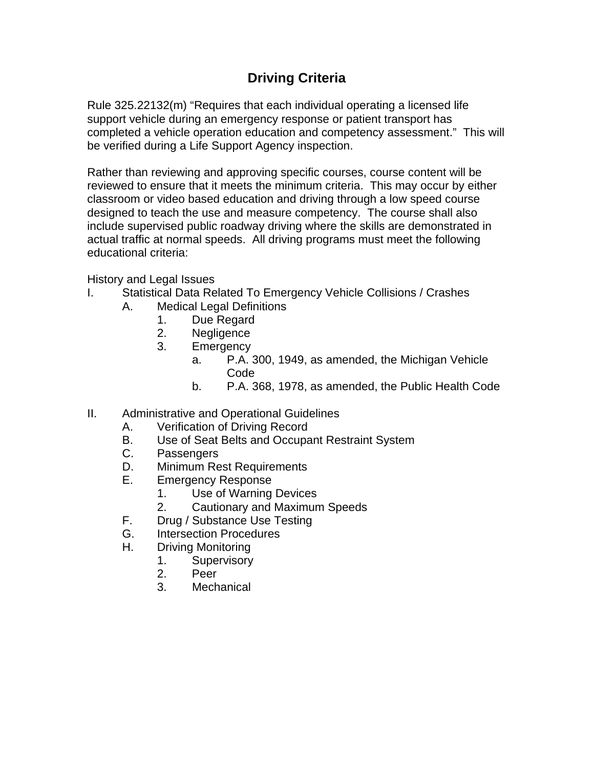## **Driving Criteria**

Rule 325.22132(m) "Requires that each individual operating a licensed life support vehicle during an emergency response or patient transport has completed a vehicle operation education and competency assessment." This will be verified during a Life Support Agency inspection.

Rather than reviewing and approving specific courses, course content will be reviewed to ensure that it meets the minimum criteria. This may occur by either classroom or video based education and driving through a low speed course designed to teach the use and measure competency. The course shall also include supervised public roadway driving where the skills are demonstrated in actual traffic at normal speeds. All driving programs must meet the following educational criteria:

History and Legal Issues

- I. Statistical Data Related To Emergency Vehicle Collisions / Crashes
	- A. Medical Legal Definitions
		- 1. Due Regard
		- 2. Negligence
		- 3. Emergency
			- a. P.A. 300, 1949, as amended, the Michigan Vehicle Code
				- b. P.A. 368, 1978, as amended, the Public Health Code
- II. Administrative and Operational Guidelines
	- A. Verification of Driving Record
	- B. Use of Seat Belts and Occupant Restraint System
	- C. Passengers
	- D. Minimum Rest Requirements
	- E. Emergency Response
		- 1. Use of Warning Devices
		- 2. Cautionary and Maximum Speeds
	- F. Drug / Substance Use Testing
	- G. Intersection Procedures
	- H. Driving Monitoring
		- 1. Supervisory
		- 2. Peer
		- 3. Mechanical